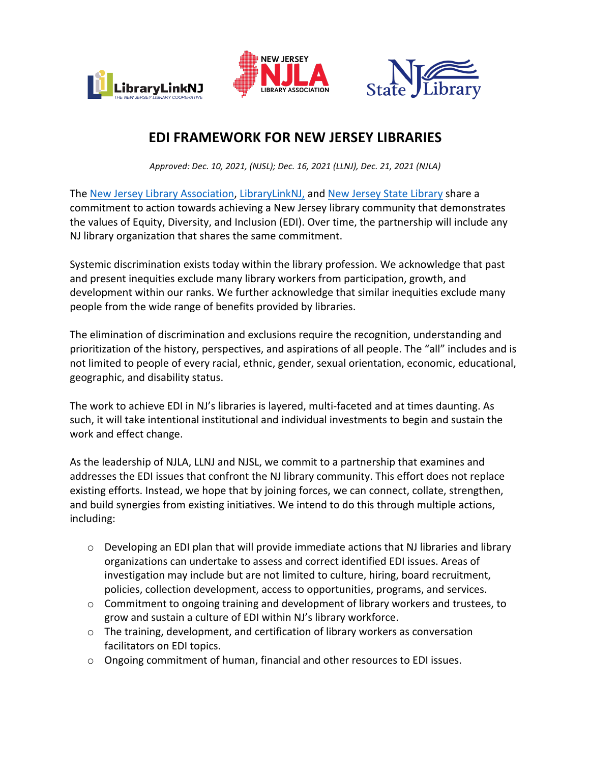





## **EDI FRAMEWORK FOR NEW JERSEY LIBRARIES**

*Approved: Dec. 10, 2021, (NJSL); Dec. 16, 2021 (LLNJ), Dec. 21, 2021 (NJLA)*

The New Jersey Library Association, LibraryLinkNJ, and New Jersey State Library share a commitment to action towards achieving a New Jersey library community that demonstrates the values of Equity, Diversity, and Inclusion (EDI). Over time, the partnership will include any NJ library organization that shares the same commitment.

Systemic discrimination exists today within the library profession. We acknowledge that past and present inequities exclude many library workers from participation, growth, and development within our ranks. We further acknowledge that similar inequities exclude many people from the wide range of benefits provided by libraries.

The elimination of discrimination and exclusions require the recognition, understanding and prioritization of the history, perspectives, and aspirations of all people. The "all" includes and is not limited to people of every racial, ethnic, gender, sexual orientation, economic, educational, geographic, and disability status.

The work to achieve EDI in NJ's libraries is layered, multi-faceted and at times daunting. As such, it will take intentional institutional and individual investments to begin and sustain the work and effect change.

As the leadership of NJLA, LLNJ and NJSL, we commit to a partnership that examines and addresses the EDI issues that confront the NJ library community. This effort does not replace existing efforts. Instead, we hope that by joining forces, we can connect, collate, strengthen, and build synergies from existing initiatives. We intend to do this through multiple actions, including:

- $\circ$  Developing an EDI plan that will provide immediate actions that NJ libraries and library organizations can undertake to assess and correct identified EDI issues. Areas of investigation may include but are not limited to culture, hiring, board recruitment, policies, collection development, access to opportunities, programs, and services.
- $\circ$  Commitment to ongoing training and development of library workers and trustees, to grow and sustain a culture of EDI within NJ's library workforce.
- $\circ$  The training, development, and certification of library workers as conversation facilitators on EDI topics.
- $\circ$  Ongoing commitment of human, financial and other resources to EDI issues.